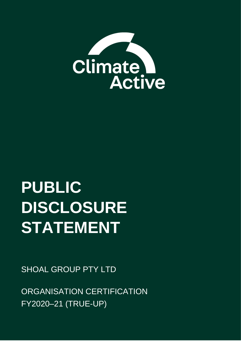

# **PUBLIC DISCLOSURE STATEMENT**

SHOAL GROUP PTY LTD

ORGANISATION CERTIFICATION FY2020–21 (TRUE-UP)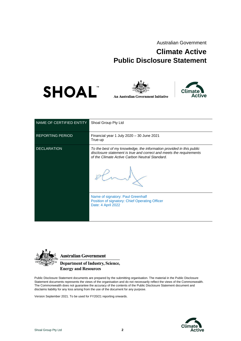Australian Government

# **Climate Active Public Disclosure Statement**





**An Australian Government Initiative** 



| NAME OF CERTIFIED ENTITY | Shoal Group Pty Ltd                                                                                                                                                                           |
|--------------------------|-----------------------------------------------------------------------------------------------------------------------------------------------------------------------------------------------|
| <b>REPORTING PERIOD</b>  | Financial year 1 July 2020 - 30 June 2021<br>True-up                                                                                                                                          |
| <b>DECLARATION</b>       | To the best of my knowledge, the information provided in this public<br>disclosure statement is true and correct and meets the requirements<br>of the Climate Active Carbon Neutral Standard. |
|                          | Name of signatory: Paul Greenhalf<br>Position of signatory: Chief Operating Officer<br>Date: 4 April 2022                                                                                     |



Australian Government

**Department of Industry, Science, Energy and Resources** 

Public Disclosure Statement documents are prepared by the submitting organisation. The material in the Public Disclosure Statement documents represents the views of the organisation and do not necessarily reflect the views of the Commonwealth. The Commonwealth does not guarantee the accuracy of the contents of the Public Disclosure Statement document and disclaims liability for any loss arising from the use of the document for any purpose.

Version September 2021. To be used for FY20/21 reporting onwards.

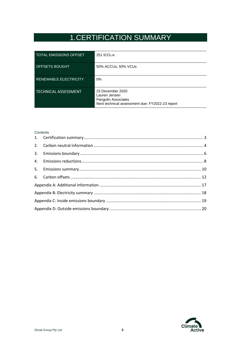# 1.CERTIFICATION SUMMARY

<span id="page-2-0"></span>

| <b>TOTAL EMISSIONS OFFSET</b> | $251$ tCO <sub>2</sub> -e                                                                                   |
|-------------------------------|-------------------------------------------------------------------------------------------------------------|
| OFFSETS BOUGHT                | 50% ACCUs, 50% VCUs                                                                                         |
| <b>RENEWABLE ELECTRICITY</b>  | $0\%$                                                                                                       |
| <b>TECHNICAL ASSESSMENT</b>   | 23 December 2020<br>Lauren Jensen<br>Pangolin Associates<br>Next technical assessment due: FY2022-23 report |

#### **Contents**

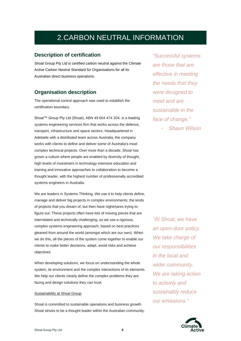# 2.CARBON NEUTRAL INFORMATION

#### <span id="page-3-0"></span>**Description of certification**

Shoal Group Pty Ltd is certified carbon neutral against the Climate Active Carbon Neutral Standard for Organisations for all its Australian direct business operations.

#### **Organisation description**

The operational control approach was used to establish the certification boundary.

Shoal™ Group Pty Ltd (Shoal), ABN 49 604 474 204, is a leading systems engineering services firm that works across the defence, transport, infrastructure and space sectors. Headquartered in Adelaide with a distributed team across Australia, the company works with clients to define and deliver some of Australia's most complex technical projects. Over more than a decade, Shoal has grown a culture where people are enabled by diversity of thought, high levels of investment in technology-intensive education and training and innovative approaches to collaboration to become a thought leader, with the highest number of professionally accredited systems engineers in Australia.

We are leaders in Systems Thinking. We use it to help clients define, manage and deliver big projects in complex environments; the kinds of projects that you dream of, but then have nightmares trying to figure out. These projects often have lots of moving pieces that are interrelated and technically challenging, so we use a rigorous, complex systems engineering approach, based on best practices gleaned from around the world (amongst which are our own). When we do this, all the pieces of the system come together to enable our clients to make better decisions, adapt, avoid risks and achieve objectives

When developing solutions, we focus on understanding the whole system, its environment and the complex interactions of its elements. We help our clients clearly define the complex problems they are facing and design solutions they can trust.

#### Sustainability at Shoal Group

Shoal is committed to sustainable operations and business growth. Shoal strives to be a thought leader within the Australian community.

*"Successful systems are those that are effective in meeting the needs that they were designed to meet and are sustainable in the face of change."*

- *Shaun Wilson*

*"At Shoal, we have an open-door policy. We take charge of our responsibilities in the local and wider community. We are taking action to actively and sustainably reduce our emissions."*

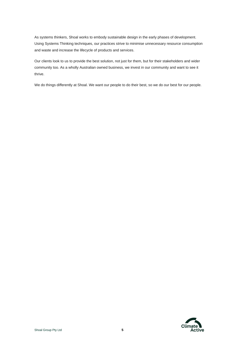As systems thinkers, Shoal works to embody sustainable design in the early phases of development. Using Systems Thinking techniques, our practices strive to minimise unnecessary resource consumption and waste and increase the lifecycle of products and services.

Our clients look to us to provide the best solution, not just for them, but for their stakeholders and wider community too. As a wholly Australian owned business, we invest in our community and want to see it thrive.

We do things differently at Shoal. We want our people to do their best, so we do our best for our people.

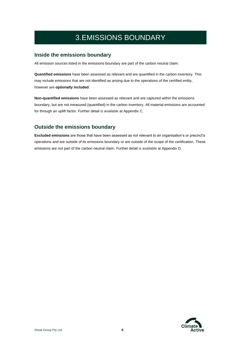# 3.EMISSIONS BOUNDARY

#### <span id="page-5-0"></span>**Inside the emissions boundary**

All emission sources listed in the emissions boundary are part of the carbon neutral claim.

**Quantified emissions** have been assessed as relevant and are quantified in the carbon inventory. This may include emissions that are not identified as arising due to the operations of the certified entity, however are **optionally included**.

**Non-quantified emissions** have been assessed as relevant and are captured within the emissions boundary, but are not measured (quantified) in the carbon inventory. All material emissions are accounted for through an uplift factor. Further detail is available at Appendix C.

### **Outside the emissions boundary**

**Excluded emissions** are those that have been assessed as not relevant to an organisation's or precinct's operations and are outside of its emissions boundary or are outside of the scope of the certification. These emissions are not part of the carbon neutral claim. Further detail is available at Appendix D.

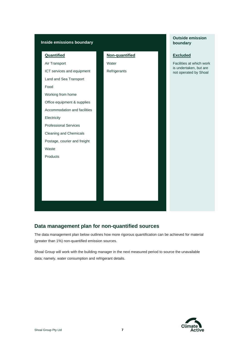



### **Data management plan for non-quantified sources**

The data management plan below outlines how more rigorous quantification can be achieved for material (greater than 1%) non-quantified emission sources.

Shoal Group will work with the building manager in the next measured period to source the unavailable data; namely, water consumption and refrigerant details.



**Outside emission** 

**boundary**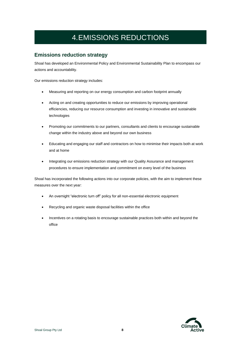# 4.EMISSIONS REDUCTIONS

### <span id="page-7-0"></span>**Emissions reduction strategy**

Shoal has developed an Environmental Policy and Environmental Sustainability Plan to encompass our actions and accountability.

Our emissions reduction strategy includes:

- Measuring and reporting on our energy consumption and carbon footprint annually
- Acting on and creating opportunities to reduce our emissions by improving operational efficiencies, reducing our resource consumption and investing in innovative and sustainable technologies
- Promoting our commitments to our partners, consultants and clients to encourage sustainable change within the industry above and beyond our own business
- Educating and engaging our staff and contractors on how to minimise their impacts both at work and at home
- Integrating our emissions reduction strategy with our Quality Assurance and management procedures to ensure implementation and commitment on every level of the business

Shoal has incorporated the following actions into our corporate policies, with the aim to implement these measures over the next year:

- An overnight "electronic turn off" policy for all non-essential electronic equipment
- Recycling and organic waste disposal facilities within the office
- Incentives on a rotating basis to encourage sustainable practices both within and beyond the office

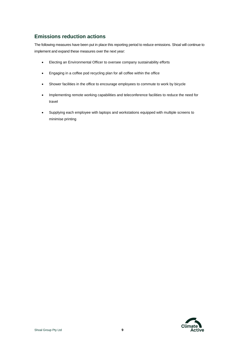### **Emissions reduction actions**

The following measures have been put in place this reporting period to reduce emissions. Shoal will continue to implement and expand these measures over the next year:

- Electing an Environmental Officer to oversee company sustainability efforts
- Engaging in a coffee pod recycling plan for all coffee within the office
- Shower facilities in the office to encourage employees to commute to work by bicycle
- Implementing remote working capabilities and teleconference facilities to reduce the need for travel
- Supplying each employee with laptops and workstations equipped with multiple screens to minimise printing

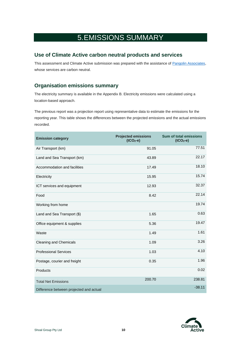### 5.EMISSIONS SUMMARY

#### <span id="page-9-0"></span>**Use of Climate Active carbon neutral products and services**

This assessment and Climate Active submission was prepared with the assistance o[f Pangolin Associates,](https://pangolinassociates.com/) whose services are carbon neutral.

### **Organisation emissions summary**

The electricity summary is available in the Appendix B. Electricity emissions were calculated using a location-based approach.

The previous report was a projection report using representative data to estimate the emissions for the reporting year. This table shows the differences between the projected emissions and the actual emissions recorded.

| <b>Emission category</b>                | <b>Projected emissions</b><br>$(tCO2-e)$ | <b>Sum of total emissions</b><br>$(tCO2-e)$ |
|-----------------------------------------|------------------------------------------|---------------------------------------------|
| Air Transport (km)                      | 91.05                                    | 77.51                                       |
| Land and Sea Transport (km)             | 43.89                                    | 22.17                                       |
| Accommodation and facilities            | 17.49                                    | 18.10                                       |
| Electricity                             | 15.95                                    | 15.74                                       |
| ICT services and equipment              | 12.93                                    | 32.37                                       |
| Food                                    | 8.42                                     | 22.14                                       |
| Working from home                       |                                          | 19.74                                       |
| Land and Sea Transport (\$)             | 1.65                                     | 0.63                                        |
| Office equipment & supplies             | 5.36                                     | 19.47                                       |
| Waste                                   | 1.49                                     | 1.61                                        |
| <b>Cleaning and Chemicals</b>           | 1.09                                     | 3.26                                        |
| <b>Professional Services</b>            | 1.03                                     | 4.10                                        |
| Postage, courier and freight            | 0.35                                     | 1.96                                        |
| Products                                |                                          | 0.02                                        |
| <b>Total Net Emissions</b>              | 200.70                                   | 238.81                                      |
| Difference between projected and actual |                                          | $-38.11$                                    |

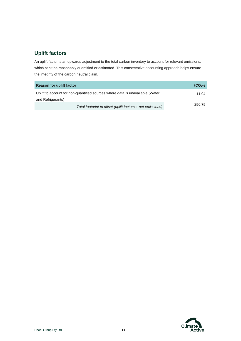### **Uplift factors**

An uplift factor is an upwards adjustment to the total carbon inventory to account for relevant emissions, which can't be reasonably quantified or estimated. This conservative accounting approach helps ensure the integrity of the carbon neutral claim.

| <b>Reason for uplift factor</b>                                               | $tCO2-e$ |
|-------------------------------------------------------------------------------|----------|
| Uplift to account for non-quantified sources where data is unavailable (Water | 11.94    |
| and Refrigerants)                                                             |          |
| Total footprint to offset (uplift factors + net emissions)                    | 250.75   |

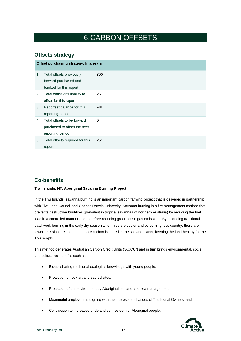# 6.CARBON OFFSETS

#### <span id="page-11-0"></span>**Offsets strategy**

|    | Offset purchasing strategy: In arrears                                          |       |  |  |
|----|---------------------------------------------------------------------------------|-------|--|--|
| 1. | Total offsets previously<br>forward purchased and<br>banked for this report     | 300   |  |  |
| 2. | Total emissions liability to<br>offset for this report                          | 251   |  |  |
| 3. | Net offset balance for this<br>reporting period                                 | $-49$ |  |  |
| 4. | Total offsets to be forward<br>purchased to offset the next<br>reporting period | 0     |  |  |
| 5. | Total offsets required for this<br>report                                       | 251   |  |  |

### **Co-benefits**

#### **Tiwi Islands, NT, Aboriginal Savanna Burning Project**

In the Tiwi Islands, savanna burning is an important carbon farming project that is delivered in partnership with Tiwi Land Council and Charles Darwin University. Savanna burning is a fire management method that prevents destructive bushfires (prevalent in tropical savannas of northern Australia) by reducing the fuel load in a controlled manner and therefore reducing greenhouse gas emissions. By practicing traditional patchwork burning in the early dry season when fires are cooler and by burning less country, there are fewer emissions released and more carbon is stored in the soil and plants, keeping the land healthy for the Tiwi people.

This method generates Australian Carbon Credit Units ("ACCU") and in turn brings environmental, social and cultural co-benefits such as:

- Elders sharing traditional ecological knowledge with young people;
- Protection of rock art and sacred sites;
- Protection of the environment by Aboriginal led land and sea management;
- Meaningful employment aligning with the interests and values of Traditional Owners; and
- Contribution to increased pride and self- esteem of Aboriginal people.

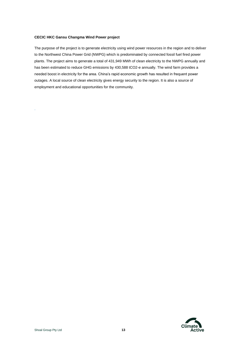#### **CECIC HKC Gansu Changma Wind Power project**

.

The purpose of the project is to generate electricity using wind power resources in the region and to deliver to the Northwest China Power Grid (NWPG) which is predominated by connected fossil fuel fired power plants. The project aims to generate a total of 431,949 MWh of clean electricity to the NWPG annually and has been estimated to reduce GHG emissions by 430,588 tCO2-e annually. The wind farm provides a needed boost in electricity for the area. China's rapid economic growth has resulted in frequent power outages. A local source of clean electricity gives energy security to the region. It is also a source of employment and educational opportunities for the community.

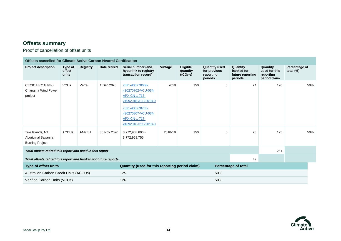### **Offsets summary**

Proof of cancellation of offset units

| <b>Offsets cancelled for Climate Active Carbon Neutral Certification</b> |                            |                 |              |                                                                                                                                                                |         |                                           |                                                              |                                                       |                                                        |                               |     |
|--------------------------------------------------------------------------|----------------------------|-----------------|--------------|----------------------------------------------------------------------------------------------------------------------------------------------------------------|---------|-------------------------------------------|--------------------------------------------------------------|-------------------------------------------------------|--------------------------------------------------------|-------------------------------|-----|
| <b>Project description</b>                                               | Type of<br>offset<br>units | <b>Registry</b> | Date retired | Serial number (and<br>hyperlink to registry<br>transaction record)                                                                                             | Vintage | <b>Eligible</b><br>quantity<br>$(tCO2-e)$ | <b>Quantity used</b><br>for previous<br>reporting<br>periods | Quantity<br>banked for<br>future reporting<br>periods | Quantity<br>used for this<br>reporting<br>period claim | Percentage of<br>total $(\%)$ |     |
| <b>CECIC HKC Gansu</b><br>Changma Wind Power<br>project                  | <b>VCU<sub>s</sub></b>     | Verra           | 1 Dec 2020   | 7821-430270658-<br>430270762-VCU-034-<br>APX-CN-1-717-<br>24092018-31122018-0<br>7821-430270763-<br>430270807-VCU-034-<br>APX-CN-1-717-<br>24092018-31122018-0 | 2018    | 150                                       | 0                                                            | 24                                                    | 126                                                    |                               | 50% |
| Tiwi Islands, NT,<br>Aboriginal Savanna<br><b>Burning Project</b>        | <b>ACCUs</b>               | ANREU           | 30 Nov 2020  | 3,772,968.606 -<br>3,772,968.755                                                                                                                               | 2018-19 | 150                                       | $\Omega$                                                     | 25                                                    | 125                                                    |                               | 50% |
| Total offsets retired this report and used in this report                |                            |                 |              |                                                                                                                                                                |         |                                           |                                                              |                                                       | 251                                                    |                               |     |
| 49<br>Total offsets retired this report and banked for future reports    |                            |                 |              |                                                                                                                                                                |         |                                           |                                                              |                                                       |                                                        |                               |     |
| Type of offset units                                                     |                            |                 |              | Quantity (used for this reporting period claim)                                                                                                                |         |                                           |                                                              | <b>Percentage of total</b>                            |                                                        |                               |     |
| Australian Carbon Credit Units (ACCUs)                                   |                            |                 |              | 125                                                                                                                                                            |         |                                           | 50%                                                          |                                                       |                                                        |                               |     |
| Verified Carbon Units (VCUs)                                             |                            |                 |              | 126                                                                                                                                                            |         |                                           | 50%                                                          |                                                       |                                                        |                               |     |

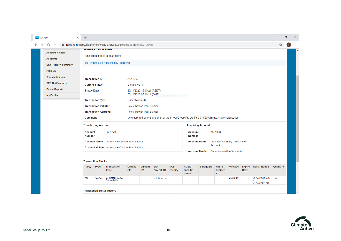| C<br>⇧                       | △ nationalregistry.cleanenergyregulator.gov.au/transaction/show/126465 |                                         |                                                      |                                                                                                    |                               |                                               |                                                 |                                     |                                         |                              |                     | ☆               | ( R ) |
|------------------------------|------------------------------------------------------------------------|-----------------------------------------|------------------------------------------------------|----------------------------------------------------------------------------------------------------|-------------------------------|-----------------------------------------------|-------------------------------------------------|-------------------------------------|-----------------------------------------|------------------------------|---------------------|-----------------|-------|
| <b>Account Holders</b>       | <b>Hansacuon Detans</b>                                                |                                         |                                                      |                                                                                                    |                               |                                               |                                                 |                                     |                                         |                              |                     |                 |       |
| <b>Accounts</b>              | Transaction details appear below.                                      |                                         |                                                      |                                                                                                    |                               |                                               |                                                 |                                     |                                         |                              |                     |                 |       |
| <b>Unit Position Summary</b> | <b>C</b> Transaction Successfully Approved                             |                                         |                                                      |                                                                                                    |                               |                                               |                                                 |                                     |                                         |                              |                     |                 |       |
|                              |                                                                        |                                         |                                                      |                                                                                                    |                               |                                               |                                                 |                                     |                                         |                              |                     |                 |       |
| <b>Projects</b>              |                                                                        |                                         |                                                      |                                                                                                    |                               |                                               |                                                 |                                     |                                         |                              |                     |                 |       |
| <b>Transaction Log</b>       | <b>Transaction ID</b>                                                  |                                         | AU16750                                              |                                                                                                    |                               |                                               |                                                 |                                     |                                         |                              |                     |                 |       |
| <b>CER Notifications</b>     | <b>Current Status</b>                                                  |                                         | Completed (4)                                        |                                                                                                    |                               |                                               |                                                 |                                     |                                         |                              |                     |                 |       |
| <b>Public Reports</b>        | <b>Status Date</b>                                                     |                                         | 30/11/2020 16:40:21 (AEDT)                           |                                                                                                    |                               |                                               |                                                 |                                     |                                         |                              |                     |                 |       |
| <b>My Profile</b>            |                                                                        |                                         | 30/11/2020 05:40:21 (GMT)                            |                                                                                                    | <b>Nindow Snip</b>            |                                               |                                                 |                                     |                                         |                              |                     |                 |       |
|                              | <b>Transaction Type</b>                                                |                                         | Cancellation (4)                                     |                                                                                                    |                               |                                               |                                                 |                                     |                                         |                              |                     |                 |       |
|                              | <b>Transaction Initiator</b>                                           |                                         | Foley, Rowan Paul Bulmer                             |                                                                                                    |                               |                                               |                                                 |                                     |                                         |                              |                     |                 |       |
|                              | <b>Transaction Approver</b>                                            |                                         | Foley, Rowan Paul Bulmer                             |                                                                                                    |                               |                                               |                                                 |                                     |                                         |                              |                     |                 |       |
|                              | Comment                                                                |                                         |                                                      | Voluntary retirement on behalf of the Shoal Group Pty Ltd FY 2019/20 Climate Active certification. |                               |                                               |                                                 |                                     |                                         |                              |                     |                 |       |
|                              | <b>Transferring Account</b>                                            |                                         |                                                      |                                                                                                    |                               |                                               | <b>Acquiring Account</b>                        |                                     |                                         |                              |                     |                 |       |
|                              | <b>Account</b><br><b>Number</b>                                        | AU-2798                                 |                                                      |                                                                                                    |                               | AU-1068<br><b>Account</b><br><b>Number</b>    |                                                 |                                     |                                         |                              |                     |                 |       |
|                              | <b>Account Name</b>                                                    | Aboriginal Carbon Fund Limited          |                                                      |                                                                                                    |                               |                                               | <b>Account Name</b>                             | Account                             | <b>Australia Voluntary Cancellation</b> |                              |                     |                 |       |
|                              | <b>Account Holder</b> Aboriginal Carbon Fund Limited                   |                                         |                                                      |                                                                                                    |                               |                                               |                                                 |                                     |                                         |                              |                     |                 |       |
|                              |                                                                        |                                         |                                                      |                                                                                                    |                               |                                               | <b>Account Holder</b> Commonwealth of Australia |                                     |                                         |                              |                     |                 |       |
|                              | <b>Transaction Blocks</b>                                              |                                         |                                                      |                                                                                                    |                               |                                               |                                                 |                                     |                                         |                              |                     |                 |       |
|                              | Party Type                                                             | <b>Transaction</b><br>CP<br><b>Type</b> | Original<br><b>Current</b><br>$\mathbf{C}\mathbf{P}$ | <b>ERF</b><br><b>Project ID</b>                                                                    | <b>NGER</b><br>Facility<br>ID | <b>NGER</b><br><b>Facility</b><br><b>Name</b> | Safeguard                                       | <b>Kyoto</b><br><b>Project</b><br># | <b>Vintage</b>                          | <b>Expiry</b><br><b>Date</b> | <b>Serial Range</b> | <b>Quantity</b> |       |
|                              | AU<br><b>KACCU</b>                                                     | Voluntary ACCU<br>Cancellation          |                                                      | ERF105045                                                                                          |                               |                                               |                                                 |                                     | 2018-19                                 |                              | 3,772,968,606 150   |                 |       |
|                              |                                                                        |                                         |                                                      |                                                                                                    |                               |                                               |                                                 |                                     |                                         |                              | 3,772,968,755       |                 |       |

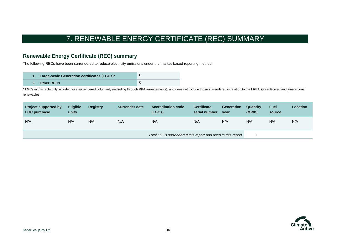# 7. RENEWABLE ENERGY CERTIFICATE (REC) SUMMARY

### **Renewable Energy Certificate (REC) summary**

The following RECs have been surrendered to reduce electricity emissions under the market-based reporting method.

| 1. Large-scale Generation certificates (LGCs)* |  |
|------------------------------------------------|--|
| 2. Other RECs                                  |  |

\* LGCs in this table only include those surrendered voluntarily (including through PPA arrangements), and does not include those surrendered in relation to the LRET, GreenPower, and jurisdictional renewables.

| <b>Project supported by</b><br><b>LGC purchase</b> | <b>Eligible</b><br>units | <b>Registry</b> | Surrender date | <b>Accreditation code</b><br>(LGCs)                        | <b>Certificate</b><br>serial number | <b>Generation</b><br>year | Quantity<br>(MWh) | <b>Fuel</b><br>source | Location |
|----------------------------------------------------|--------------------------|-----------------|----------------|------------------------------------------------------------|-------------------------------------|---------------------------|-------------------|-----------------------|----------|
| N/A                                                | N/A                      | N/A             | N/A            | N/A                                                        | N/A                                 | N/A                       | N/A               | N/A                   | N/A      |
|                                                    |                          |                 |                | Total LGCs surrendered this report and used in this report |                                     |                           |                   |                       |          |

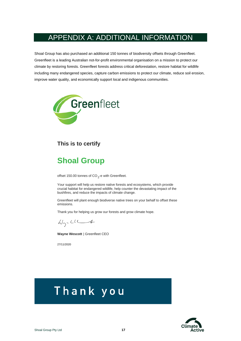### <span id="page-16-0"></span>APPENDIX A: ADDITIONAL INFORMATION

Shoal Group has also purchased an additional 150 tonnes of biodiversity offsets through Greenfleet. Greenfleet is a leading Australian not-for-profit environmental organisation on a mission to protect our climate by restoring forests. Greenfleet forests address critical deforestation, restore habitat for wildlife including many endangered species, capture carbon emissions to protect our climate, reduce soil erosion, improve water quality, and economically support local and indigenous communities.



### **This is to certify**

# **Shoal Group**

offset 150.00 tonnes of  $CO_2$ -e with Greenfleet.

Your support will help us restore native forests and ecosystems, which provide crucial habitat for endangered wildlife, help counter the devastating impact of the bushfires, and reduce the impacts of climate change.

Greenfleet will plant enough biodiverse native trees on your behalf to offset these emissions.

Thank you for helping us grow our forests and grow climate hope.

 $W_{2}$ - $CU-4$ 

**Wayne Wescott** | Greenfleet CEO

27/11/2020

# Thank you

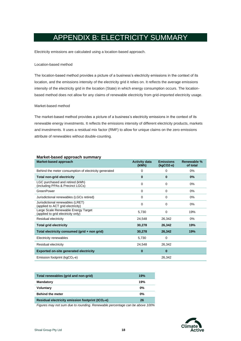# APPENDIX B: ELECTRICITY SUMMARY

<span id="page-17-0"></span>Electricity emissions are calculated using a location-based approach.

#### Location-based method

The location-based method provides a picture of a business's electricity emissions in the context of its location, and the emissions intensity of the electricity grid it relies on. It reflects the average emissions intensity of the electricity grid in the location (State) in which energy consumption occurs. The locationbased method does not allow for any claims of renewable electricity from grid-imported electricity usage.

#### Market-based method

The market-based method provides a picture of a business's electricity emissions in the context of its renewable energy investments. It reflects the emissions intensity of different electricity products, markets and investments. It uses a residual mix factor (RMF) to allow for unique claims on the zero emissions attribute of renewables without double-counting.

| markot basoa approasni sammary<br>Market-based approach                   | <b>Activity data</b><br>(kWh) | <b>Emissions</b><br>$(kqCO2-e)$ | Renewable %<br>of total |
|---------------------------------------------------------------------------|-------------------------------|---------------------------------|-------------------------|
| Behind the meter consumption of electricity generated                     | 0                             | 0                               | $0\%$                   |
| <b>Total non-grid electricity</b>                                         | 0                             | 0                               | 0%                      |
| LGC purchased and retired (kWh)<br>(including PPAs & Precinct LGCs)       | 0                             | $\Omega$                        | 0%                      |
| GreenPower                                                                | $\Omega$                      | $\Omega$                        | $0\%$                   |
| Jurisdictional renewables (LGCs retired)                                  | 0                             | $\Omega$                        | 0%                      |
| Jurisdictional renewables (LRET)<br>(applied to ACT grid electricity)     | 0                             | 0                               | $0\%$                   |
| Large Scale Renewable Energy Target<br>(applied to grid electricity only) | 5,730                         | 0                               | 19%                     |
| Residual electricity                                                      | 24,548                        | 26,342                          | 0%                      |
| <b>Total grid electricity</b>                                             | 30,278                        | 26,342                          | 19%                     |
| Total electricity consumed (grid + non grid)                              | 30,278                        | 26,342                          | 19%                     |
| Electricity renewables                                                    | 5,730                         | 0                               |                         |
| Residual electricity                                                      | 24,548                        | 26,342                          |                         |
| <b>Exported on-site generated electricity</b>                             | 0                             | 0                               |                         |
| Emission footprint ( $kgCO2$ -e)                                          |                               | 26,342                          |                         |

| Market-based approach summary |  |
|-------------------------------|--|
|                               |  |

| Total renewables (grid and non-grid)                 | 19%   |
|------------------------------------------------------|-------|
| <b>Mandatory</b>                                     | 19%   |
| <b>Voluntary</b>                                     | $0\%$ |
| <b>Behind the meter</b>                              | $0\%$ |
| Residual electricity emission footprint ( $tCO2$ -e) | 26    |

*Figures may not sum due to rounding. Renewable percentage can be above 100%* 

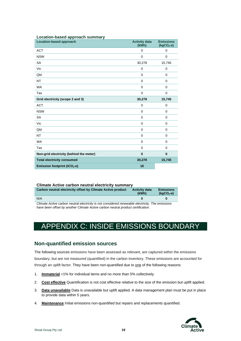| Location-based approach                  | <b>Activity data</b><br>(kWh) | <b>Emissions</b><br>$(kgCO2-e)$ |
|------------------------------------------|-------------------------------|---------------------------------|
| <b>ACT</b>                               | $\Omega$                      | $\mathbf 0$                     |
| <b>NSW</b>                               | 0                             | $\mathbf 0$                     |
| <b>SA</b>                                | 30,278                        | 15,745                          |
| Vic                                      | 0                             | $\mathbf 0$                     |
| Qld                                      | 0                             | $\mathbf 0$                     |
| <b>NT</b>                                | 0                             | 0                               |
| <b>WA</b>                                | 0                             | $\mathbf 0$                     |
| Tas                                      | 0                             | $\mathbf 0$                     |
| Grid electricity (scope 2 and 3)         | 30,278                        | 15,745                          |
| <b>ACT</b>                               | $\mathbf 0$                   | $\mathbf 0$                     |
| <b>NSW</b>                               | 0                             | $\mathbf 0$                     |
| <b>SA</b>                                | 0                             | $\mathbf 0$                     |
| Vic                                      | 0                             | $\mathbf 0$                     |
| Qld                                      | 0                             | $\mathbf 0$                     |
| NT                                       | $\Omega$                      | $\mathbf 0$                     |
| <b>WA</b>                                | 0                             | $\Omega$                        |
| Tas                                      | $\mathbf 0$                   | $\mathbf 0$                     |
| Non-grid electricity (behind the meter)  | $\bf{0}$                      | $\bf{0}$                        |
| <b>Total electricity consumed</b>        | 30,278                        | 15,745                          |
| Emission footprint (tCO <sub>2</sub> -e) | 16                            |                                 |

#### **Location-based approach summary**

#### **Climate Active carbon neutral electricity summary**

| Carbon neutral electricity offset by Climate Active product                                                                                                                         | <b>Activity data</b><br>(kWh) | <b>Emissions</b><br>$(kqCO2-e)$ |  |  |  |
|-------------------------------------------------------------------------------------------------------------------------------------------------------------------------------------|-------------------------------|---------------------------------|--|--|--|
| N/A                                                                                                                                                                                 | n                             |                                 |  |  |  |
| Climate Active carbon neutral electricity is not considered renewable electricity. The emissions<br>boya boon affoot by opathor Climato Active corpor noutral product contification |                               |                                 |  |  |  |

*have been offset by another Climate Active carbon neutral product certification.* 

# <span id="page-18-0"></span>APPENDIX C: INSIDE EMISSIONS BOUNDARY

#### **Non-quantified emission sources**

The following sources emissions have been assessed as relevant, are captured within the emissions boundary, but are not measured (quantified) in the carbon inventory. These emissions are accounted for through an uplift factor. They have been non-quantified due to one of the following reasons:

- 1. **Immaterial** <1% for individual items and no more than 5% collectively
- 2. **Cost effective** Quantification is not cost effective relative to the size of the emission but uplift applied.
- 3. **Data unavailable** Data is unavailable but uplift applied. A data management plan must be put in place to provide data within 5 years.
- 4. **Maintenance** Initial emissions non-quantified but repairs and replacements quantified.

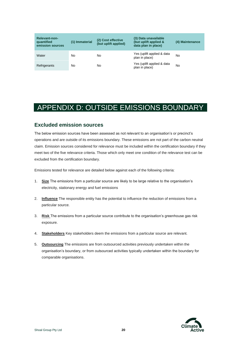| <b>Relevant-non-</b><br>quantified<br>emission sources | (1) Immaterial | (2) Cost effective<br>(but uplift applied) | (3) Data unavailable<br>(but uplift applied &<br>data plan in place) | (4) Maintenance |
|--------------------------------------------------------|----------------|--------------------------------------------|----------------------------------------------------------------------|-----------------|
| Water                                                  | No             | No                                         | Yes (uplift applied & data<br>plan in place)                         | No              |
| Refrigerants                                           | No             | No                                         | Yes (uplift applied & data<br>plan in place)                         | No              |

### <span id="page-19-0"></span>APPENDIX D: OUTSIDE EMISSIONS BOUNDARY

#### **Excluded emission sources**

The below emission sources have been assessed as not relevant to an organisation's or precinct's operations and are outside of its emissions boundary. These emissions are not part of the carbon neutral claim. Emission sources considered for relevance must be included within the certification boundary if they meet two of the five relevance criteria. Those which only meet one condition of the relevance test can be excluded from the certification boundary.

Emissions tested for relevance are detailed below against each of the following criteria:

- 1. **Size** The emissions from a particular source are likely to be large relative to the organisation's electricity, stationary energy and fuel emissions
- 2. **Influence** The responsible entity has the potential to influence the reduction of emissions from a particular source.
- 3. **Risk** The emissions from a particular source contribute to the organisation's greenhouse gas risk exposure.
- 4. **Stakeholders** Key stakeholders deem the emissions from a particular source are relevant.
- 5. **Outsourcing** The emissions are from outsourced activities previously undertaken within the organisation's boundary, or from outsourced activities typically undertaken within the boundary for comparable organisations.

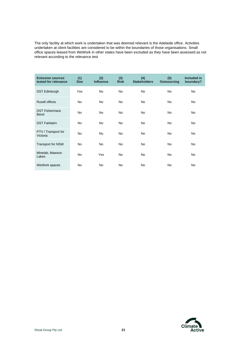The only facility at which work is undertaken that was deemed relevant is the Adelaide office. Activities undertaken at client facilities are considered to be within the boundaries of those organisations. Small office spaces leased from WeWork in other states have been excluded as they have been assessed as not relevant according to the relevance test

| <b>Emission sources</b><br>tested for relevance | (1)<br><b>Size</b> | (2)<br><b>Influence</b> | (3)<br><b>Risk</b> | (4)<br><b>Stakeholders</b> | (5)<br><b>Outsourcing</b> | <b>Included in</b><br>boundary? |
|-------------------------------------------------|--------------------|-------------------------|--------------------|----------------------------|---------------------------|---------------------------------|
| <b>DST Edinburgh</b>                            | Yes                | <b>No</b>               | <b>No</b>          | <b>No</b>                  | <b>No</b>                 | <b>No</b>                       |
| <b>Rusell offices</b>                           | <b>No</b>          | <b>No</b>               | <b>No</b>          | <b>No</b>                  | <b>No</b>                 | <b>No</b>                       |
| <b>DST Fishermans</b><br><b>Bend</b>            | <b>No</b>          | <b>No</b>               | <b>No</b>          | <b>No</b>                  | <b>No</b>                 | <b>No</b>                       |
| <b>DST Fairbairn</b>                            | <b>No</b>          | <b>No</b>               | <b>No</b>          | <b>No</b>                  | <b>No</b>                 | <b>No</b>                       |
| PTV / Transport for<br>Victoria                 | <b>No</b>          | <b>No</b>               | <b>No</b>          | <b>No</b>                  | <b>No</b>                 | <b>No</b>                       |
| <b>Transport for NSW</b>                        | <b>No</b>          | <b>No</b>               | <b>No</b>          | <b>No</b>                  | <b>No</b>                 | <b>No</b>                       |
| Minelab, Mawson<br>Lakes                        | <b>No</b>          | Yes                     | <b>No</b>          | <b>No</b>                  | <b>No</b>                 | <b>No</b>                       |
| WeWork spaces                                   | <b>No</b>          | <b>No</b>               | <b>No</b>          | <b>No</b>                  | <b>No</b>                 | <b>No</b>                       |